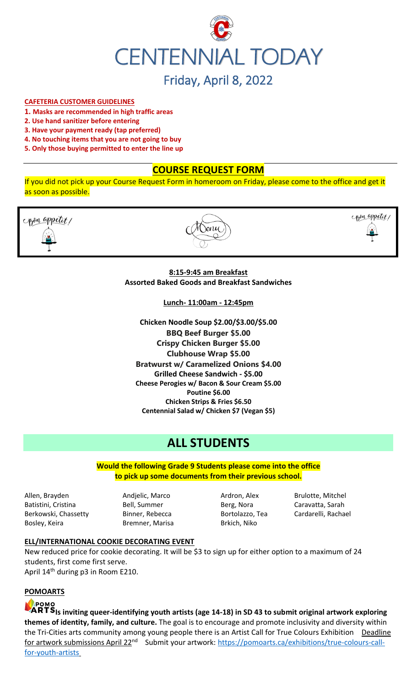

# Friday, April 8, 2022

#### **CAFETERIA CUSTOMER GUIDELINES**

- **1. Masks are recommended in high traffic areas**
- **2. Use hand sanitizer before entering**
- **3. Have your payment ready (tap preferred)**
- **4. No touching items that you are not going to buy**
- **5. Only those buying permitted to enter the line up**

# **COURSE REQUEST FORM**

If you did not pick up your Course Request Form in homeroom on Friday, please come to the office and get it as soon as possible.



#### **8:15-9:45 am Breakfast Assorted Baked Goods and Breakfast Sandwiches**

**Lunch- 11:00am - 12:45pm**

**Chicken Noodle Soup \$2.00/\$3.00/\$5.00 BBQ Beef Burger \$5.00 Crispy Chicken Burger \$5.00 Clubhouse Wrap \$5.00 Bratwurst w/ Caramelized Onions \$4.00 Grilled Cheese Sandwich - \$5.00 Cheese Perogies w/ Bacon & Sour Cream \$5.00 Poutine \$6.00 Chicken Strips & Fries \$6.50 Centennial Salad w/ Chicken \$7 (Vegan \$5)**

# **ALL STUDENTS**

**Would the following Grade 9 Students please come into the office to pick up some documents from their previous school.**

Allen, Brayden **Andjelic, Marco Ardron, Alex** Brulotte, Mitchel Batistini, Cristina **Bell, Summer** Berg, Nora Caravatta, Sarah Berkowski, Chassetty Binner, Rebecca Bortolazzo, Tea Cardarelli, Rachael Bosley, Keira **Bremner**, Marisa Brkich, Niko

#### **ELL/INTERNATIONAL COOKIE DECORATING EVENT**

New reduced price for cookie decorating. It will be \$3 to sign up for either option to a maximum of 24 students, first come first serve. April 14th during p3 in Room E210.

**POMOARTS**



**Is inviting queer-identifying youth artists (age 14-18) in SD 43 to submit original artwork exploring themes of identity, family, and culture.** The goal is to encourage and promote inclusivity and diversity within the Tri-Cities arts community among young people there is an Artist Call for True Colours Exhibition Deadline for artwork submissions April 22<sup>nd</sup> Submit your artwork: [https://pomoarts.ca/exhibitions/true-colours-call](https://pomoarts.ca/exhibitions/true-colours-call-for-youth-artists)[for-youth-artists](https://pomoarts.ca/exhibitions/true-colours-call-for-youth-artists)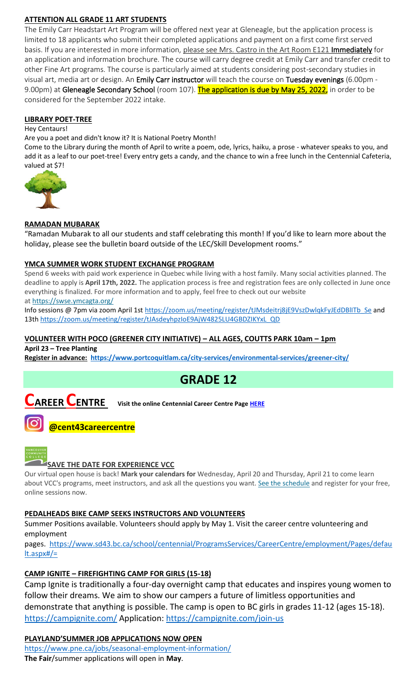# **ATTENTION ALL GRADE 11 ART STUDENTS**

The Emily Carr Headstart Art Program will be offered next year at Gleneagle, but the application process is limited to 18 applicants who submit their completed applications and payment on a first come first served basis. If you are interested in more information, please see Mrs. Castro in the Art Room E121 Immediately for an application and information brochure. The course will carry degree credit at Emily Carr and transfer credit to other Fine Art programs. The course is particularly aimed at students considering post-secondary studies in visual art, media art or design. An Emily Carr instructor will teach the course on Tuesday evenings (6.00pm - 9.00pm) at Gleneagle Secondary School (room 107). The application is due by May 25, 2022, in order to be considered for the September 2022 intake.

### **LIBRARY POET-TREE**

#### Hey Centaurs!

Are you a poet and didn't know it? It is National Poetry Month!

Come to the Library during the month of April to write a poem, ode, lyrics, haiku, a prose - whatever speaks to you, and add it as a leaf to our poet-tree! Every entry gets a candy, and the chance to win a free lunch in the Centennial Cafeteria, valued at \$7!



### **RAMADAN MUBARAK**

"Ramadan Mubarak to all our students and staff celebrating this month! If you'd like to learn more about the holiday, please see the bulletin board outside of the LEC/Skill Development rooms."

#### **YMCA SUMMER WORK STUDENT EXCHANGE PROGRAM**

Spend 6 weeks with paid work experience in Quebec while living with a host family. Many social activities planned. The deadline to apply is **April 17th, 2022.** The application process is free and registration fees are only collected in June once everything is finalized. For more information and to apply, feel free to check out our website at <https://swse.ymcagta.org/>

Info sessions @ 7pm via zoom April 1s[t https://zoom.us/meeting/register/tJMsdeitrj8jE9VszDwlqkFyJEdDBlITb\\_Se](https://zoom.us/meeting/register/tJMsdeitrj8jE9VszDwlqkFyJEdDBlITb_Se) and 13th [https://zoom.us/meeting/register/tJAsdeyhpzIoE9AjW4825LU4GBDZIKYxL\\_QD](https://zoom.us/meeting/register/tJAsdeyhpzIoE9AjW4825LU4GBDZIKYxL_QD)

### **VOLUNTEER WITH POCO (GREENER CITY INITIATIVE) – ALL AGES, COUTTS PARK 10am – 1pm**

**April 23 – Tree Planting**

**Register in advance: <https://www.portcoquitlam.ca/city-services/environmental-services/greener-city/>**



# **CAREER CENTRE Visit the online Centennial Career Centre Page [HERE](https://www.sd43.bc.ca/school/centennial/ProgramsServices/CareerCentre/experiences/Pages/default.aspx#/=)**

# **@cent43careercentre**



# **SAVE THE DATE FOR EXPERIENCE VCC**

Our virtual open house is back! **Mark your calendars for** Wednesday, April 20 and Thursday, April 21 to come learn about VCC's programs, meet instructors, and ask all the questions you want. [See the schedule](https://vcc.us2.list-manage.com/track/click?u=265d8acc7aa162eb26eb78d5e&id=8da9ab4282&e=d1966a5f66) and register for your free, online sessions now.

#### **PEDALHEADS BIKE CAMP SEEKS INSTRUCTORS AND VOLUNTEERS**

Summer Positions available. Volunteers should apply by May 1. Visit the career centre volunteering and employment

pages. [https://www.sd43.bc.ca/school/centennial/ProgramsServices/CareerCentre/employment/Pages/defau](https://www.sd43.bc.ca/school/centennial/ProgramsServices/CareerCentre/employment/Pages/default.aspx#/=) [lt.aspx#/=](https://www.sd43.bc.ca/school/centennial/ProgramsServices/CareerCentre/employment/Pages/default.aspx#/=)

# **CAMP IGNITE – FIREFIGHTING CAMP FOR GIRLS (15-18)**

Camp Ignite is traditionally a four-day overnight camp that educates and inspires young women to follow their dreams. We aim to show our campers a future of limitless opportunities and demonstrate that anything is possible. The camp is open to BC girls in grades 11-12 (ages 15-18). <https://campignite.com/> Application:<https://campignite.com/join-us>

# **PLAYLAND'SUMMER JOB APPLICATIONS NOW OPEN**

<https://www.pne.ca/jobs/seasonal-employment-information/> **The Fair**/summer applications will open in **May**.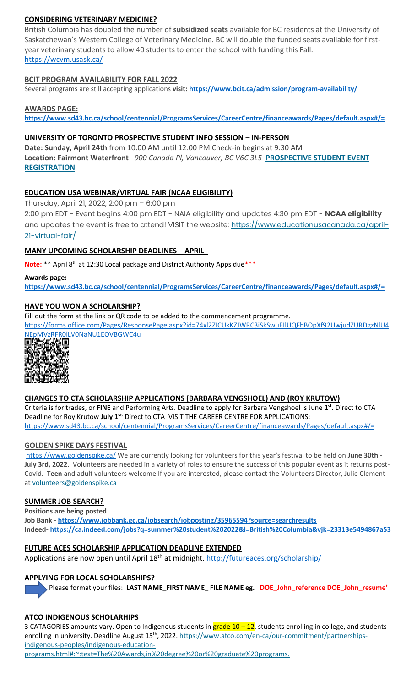### **CONSIDERING VETERINARY MEDICINE?**

British Columbia has doubled the number of **subsidized seats** available for BC residents at the University of Saskatchewan's Western College of Veterinary Medicine. BC will double the funded seats available for firstyear veterinary students to allow 40 students to enter the school with funding this Fall. <https://wcvm.usask.ca/>

#### **BCIT PROGRAM AVAILABILITY FOR FALL 2022**

Several programs are still accepting applications **visit[: https://www.bcit.ca/admission/program-availability/](https://www.bcit.ca/admission/program-availability/)**

#### **AWARDS PAGE:**

**<https://www.sd43.bc.ca/school/centennial/ProgramsServices/CareerCentre/financeawards/Pages/default.aspx#/=>**

#### **UNIVERSITY OF TORONTO PROSPECTIVE STUDENT INFO SESSION – IN-PERSON**

**Date: Sunday, April 24th** from 10:00 AM until 12:00 PM Check-in begins at 9:30 AM **Location: Fairmont Waterfront** *900 Canada Pl, Vancouver, BC V6C 3L5* **[PROSPECTIVE STUDENT EVENT](https://mx.technolutions.net/ss/c/VpDhrCrvzjOrNk6AZ3TbHjFLbqWBZPhhofjteQ2YNx82CaUosH1dcVhwZYliQGg4fqoAmVG1Ka_8jV1ZqG7kHkEUUWMfwc8VPjIe6VXHcqaY02ME2QCvDFADSudDQ-wU/3kx/RvkltXeQS-KcXTsaf7PNeQ/h1/qokCettkLEwcVkww2NiO3af-alqvB1eOXLnFAgxLQVQ)  [REGISTRATION](https://mx.technolutions.net/ss/c/VpDhrCrvzjOrNk6AZ3TbHjFLbqWBZPhhofjteQ2YNx82CaUosH1dcVhwZYliQGg4fqoAmVG1Ka_8jV1ZqG7kHkEUUWMfwc8VPjIe6VXHcqaY02ME2QCvDFADSudDQ-wU/3kx/RvkltXeQS-KcXTsaf7PNeQ/h1/qokCettkLEwcVkww2NiO3af-alqvB1eOXLnFAgxLQVQ)**

#### **EDUCATION USA WEBINAR/VIRTUAL FAIR (NCAA ELIGIBILITY)**

Thursday, April 21, 2022, 2:00 pm – 6:00 pm

2:00 pm EDT - Event begins 4:00 pm EDT - NAIA eligibility and updates 4:30 pm EDT - **NCAA eligibility** and updates the event is free to attend! VISIT the website: [https://www.educationusacanada.ca/april-](https://www.educationusacanada.ca/april-21-virtual-fair/)[21-virtual-fair/](https://www.educationusacanada.ca/april-21-virtual-fair/)

#### **MANY UPCOMING SCHOLARSHIP DEADLINES – APRIL**

Note: \*\* April 8<sup>th</sup> at 12:30 Local package and District Authority Apps due \*\*\*

#### **Awards page:**

**<https://www.sd43.bc.ca/school/centennial/ProgramsServices/CareerCentre/financeawards/Pages/default.aspx#/=>**

#### **HAVE YOU WON A SCHOLARSHIP?**

Fill out the form at the link or QR code to be added to the commencement programme.

[https://forms.office.com/Pages/ResponsePage.aspx?id=74xl2ZICUkKZJWRC3iSkSwuEIlUQFhBOpXf92UwjudZURDgzNlU4](https://forms.office.com/Pages/ResponsePage.aspx?id=74xl2ZICUkKZJWRC3iSkSwuEIlUQFhBOpXf92UwjudZURDgzNlU4NEpMVzRFR0lLV0NaNU1EOVBGWC4u)



#### **CHANGES TO CTA SCHOLARSHIP APPLICATIONS (BARBARA VENGSHOEL) AND (ROY KRUTOW)**

Criteria is for trades, or **FINE** and Performing Arts. Deadline to apply for Barbara Vengshoel is June **1 st .** Direct to CTA Deadline for Roy Krutow **July 1st.** Direct to CTA VISIT THE CAREER CENTRE FOR APPLICATIONS: <https://www.sd43.bc.ca/school/centennial/ProgramsServices/CareerCentre/financeawards/Pages/default.aspx#/=>

#### **GOLDEN SPIKE DAYS FESTIVAL**

<https://www.goldenspike.ca/> We are currently looking for volunteers for this year's festival to be held on **June 30th - July 3rd, 2022**. Volunteers are needed in a variety of roles to ensure the success of this popular event as it returns post-Covid. **Teen** and adult volunteers welcome If you are interested, please contact the Volunteers Director, Julie Clement at [volunteers@goldenspike.ca](mailto:volunteers@goldenspike.ca)

#### **SUMMER JOB SEARCH?**

**Positions are being posted**

**Job Bank - <https://www.jobbank.gc.ca/jobsearch/jobposting/35965594?source=searchresults> Indeed- <https://ca.indeed.com/jobs?q=summer%20student%202022&l=British%20Columbia&vjk=23313e5494867a53>**

#### **FUTURE ACES SCHOLARSHIP APPLICATION DEADLINE EXTENDED**

Applications are now open until April 18<sup>th</sup> at midnight.<http://futureaces.org/scholarship/>

#### **APPLYING FOR LOCAL SCHOLARSHIPS?**

Please format your files: **LAST NAME\_FIRST NAME\_ FILE NAME eg. DOE\_John\_reference DOE\_John\_resume'**

#### **ATCO INDIGENOUS SCHOLARHIPS**

3 CATAGORIES amounts vary. Open to Indigenous students in grade 10 - 12, students enrolling in college, and students enrolling in university. Deadline August 15<sup>th</sup>, 2022[. https://www.atco.com/en-ca/our-commitment/partnerships](https://www.atco.com/en-ca/our-commitment/partnerships-indigenous-peoples/indigenous-education-programs.html#:~:text=The%20Awards,in%20degree%20or%20graduate%20programs.)[indigenous-peoples/indigenous-education-](https://www.atco.com/en-ca/our-commitment/partnerships-indigenous-peoples/indigenous-education-programs.html#:~:text=The%20Awards,in%20degree%20or%20graduate%20programs.)

[programs.html#:~:text=The%20Awards,in%20degree%20or%20graduate%20programs.](https://www.atco.com/en-ca/our-commitment/partnerships-indigenous-peoples/indigenous-education-programs.html#:~:text=The%20Awards,in%20degree%20or%20graduate%20programs.)